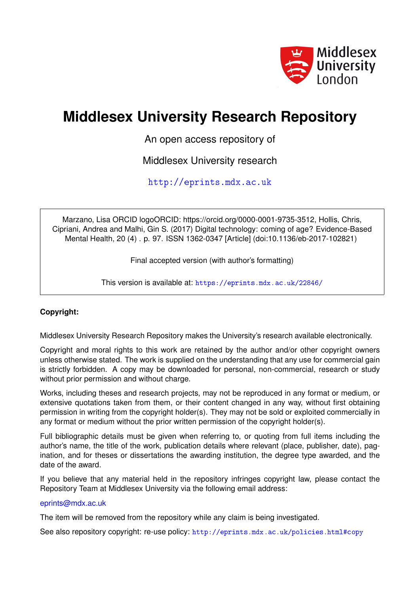

# **Middlesex University Research Repository**

An open access repository of

Middlesex University research

<http://eprints.mdx.ac.uk>

Marzano, Lisa ORCID logoORCID: https://orcid.org/0000-0001-9735-3512, Hollis, Chris, Cipriani, Andrea and Malhi, Gin S. (2017) Digital technology: coming of age? Evidence-Based Mental Health, 20 (4) . p. 97. ISSN 1362-0347 [Article] (doi:10.1136/eb-2017-102821)

Final accepted version (with author's formatting)

This version is available at: <https://eprints.mdx.ac.uk/22846/>

## **Copyright:**

Middlesex University Research Repository makes the University's research available electronically.

Copyright and moral rights to this work are retained by the author and/or other copyright owners unless otherwise stated. The work is supplied on the understanding that any use for commercial gain is strictly forbidden. A copy may be downloaded for personal, non-commercial, research or study without prior permission and without charge.

Works, including theses and research projects, may not be reproduced in any format or medium, or extensive quotations taken from them, or their content changed in any way, without first obtaining permission in writing from the copyright holder(s). They may not be sold or exploited commercially in any format or medium without the prior written permission of the copyright holder(s).

Full bibliographic details must be given when referring to, or quoting from full items including the author's name, the title of the work, publication details where relevant (place, publisher, date), pagination, and for theses or dissertations the awarding institution, the degree type awarded, and the date of the award.

If you believe that any material held in the repository infringes copyright law, please contact the Repository Team at Middlesex University via the following email address:

### [eprints@mdx.ac.uk](mailto:eprints@mdx.ac.uk)

The item will be removed from the repository while any claim is being investigated.

See also repository copyright: re-use policy: <http://eprints.mdx.ac.uk/policies.html#copy>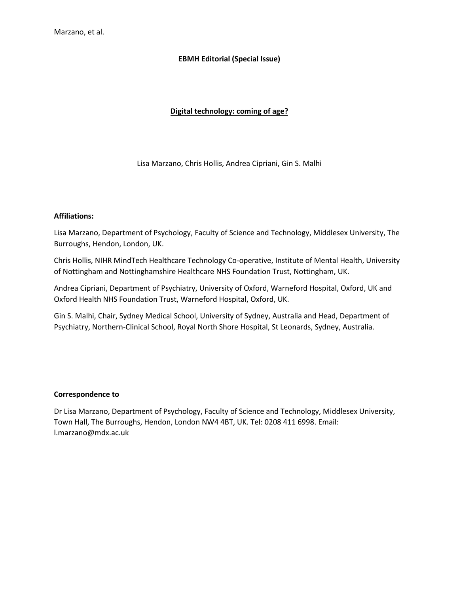#### **EBMH Editorial (Special Issue)**

#### **Digital technology: coming of age?**

Lisa Marzano, Chris Hollis, Andrea Cipriani, Gin S. Malhi

#### **Affiliations:**

Lisa Marzano, Department of Psychology, Faculty of Science and Technology, Middlesex University, The Burroughs, Hendon, London, UK.

Chris Hollis, NIHR MindTech Healthcare Technology Co-operative, Institute of Mental Health, University of Nottingham and Nottinghamshire Healthcare NHS Foundation Trust, Nottingham, UK.

Andrea Cipriani, Department of Psychiatry, University of Oxford, Warneford Hospital, Oxford, UK and Oxford Health NHS Foundation Trust, Warneford Hospital, Oxford, UK.

Gin S. Malhi, Chair, Sydney Medical School, University of Sydney, Australia and Head, Department of Psychiatry, Northern-Clinical School, Royal North Shore Hospital, St Leonards, Sydney, Australia.

#### **Correspondence to**

Dr Lisa Marzano, Department of Psychology, Faculty of Science and Technology, Middlesex University, Town Hall, The Burroughs, Hendon, London NW4 4BT, UK. Tel: 0208 411 6998. Email: l.marzano@mdx.ac.uk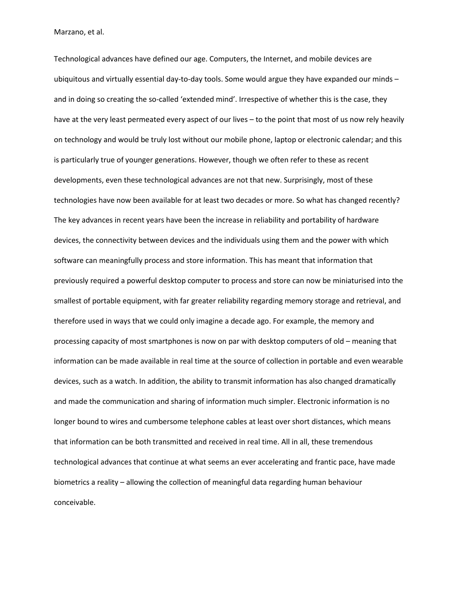Marzano, et al.

Technological advances have defined our age. Computers, the Internet, and mobile devices are ubiquitous and virtually essential day-to-day tools. Some would argue they have expanded our minds – and in doing so creating the so-called 'extended mind'. Irrespective of whether this is the case, they have at the very least permeated every aspect of our lives – to the point that most of us now rely heavily on technology and would be truly lost without our mobile phone, laptop or electronic calendar; and this is particularly true of younger generations. However, though we often refer to these as recent developments, even these technological advances are not that new. Surprisingly, most of these technologies have now been available for at least two decades or more. So what has changed recently? The key advances in recent years have been the increase in reliability and portability of hardware devices, the connectivity between devices and the individuals using them and the power with which software can meaningfully process and store information. This has meant that information that previously required a powerful desktop computer to process and store can now be miniaturised into the smallest of portable equipment, with far greater reliability regarding memory storage and retrieval, and therefore used in ways that we could only imagine a decade ago. For example, the memory and processing capacity of most smartphones is now on par with desktop computers of old – meaning that information can be made available in real time at the source of collection in portable and even wearable devices, such as a watch. In addition, the ability to transmit information has also changed dramatically and made the communication and sharing of information much simpler. Electronic information is no longer bound to wires and cumbersome telephone cables at least over short distances, which means that information can be both transmitted and received in real time. All in all, these tremendous technological advances that continue at what seems an ever accelerating and frantic pace, have made biometrics a reality – allowing the collection of meaningful data regarding human behaviour conceivable.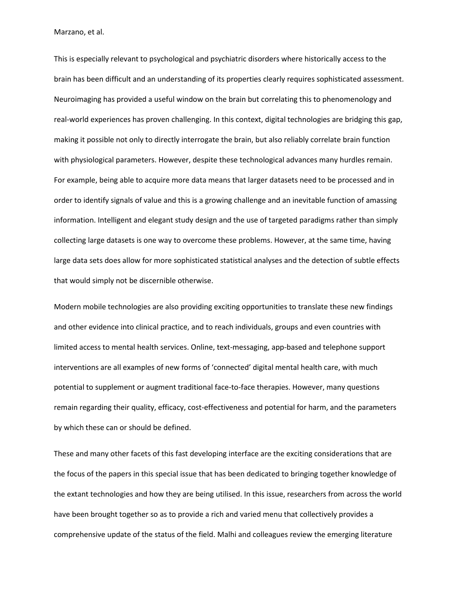Marzano, et al.

This is especially relevant to psychological and psychiatric disorders where historically access to the brain has been difficult and an understanding of its properties clearly requires sophisticated assessment. Neuroimaging has provided a useful window on the brain but correlating this to phenomenology and real-world experiences has proven challenging. In this context, digital technologies are bridging this gap, making it possible not only to directly interrogate the brain, but also reliably correlate brain function with physiological parameters. However, despite these technological advances many hurdles remain. For example, being able to acquire more data means that larger datasets need to be processed and in order to identify signals of value and this is a growing challenge and an inevitable function of amassing information. Intelligent and elegant study design and the use of targeted paradigms rather than simply collecting large datasets is one way to overcome these problems. However, at the same time, having large data sets does allow for more sophisticated statistical analyses and the detection of subtle effects that would simply not be discernible otherwise.

Modern mobile technologies are also providing exciting opportunities to translate these new findings and other evidence into clinical practice, and to reach individuals, groups and even countries with limited access to mental health services. Online, text-messaging, app-based and telephone support interventions are all examples of new forms of 'connected' digital mental health care, with much potential to supplement or augment traditional face-to-face therapies. However, many questions remain regarding their quality, efficacy, cost-effectiveness and potential for harm, and the parameters by which these can or should be defined.

These and many other facets of this fast developing interface are the exciting considerations that are the focus of the papers in this special issue that has been dedicated to bringing together knowledge of the extant technologies and how they are being utilised. In this issue, researchers from across the world have been brought together so as to provide a rich and varied menu that collectively provides a comprehensive update of the status of the field. Malhi and colleagues review the emerging literature